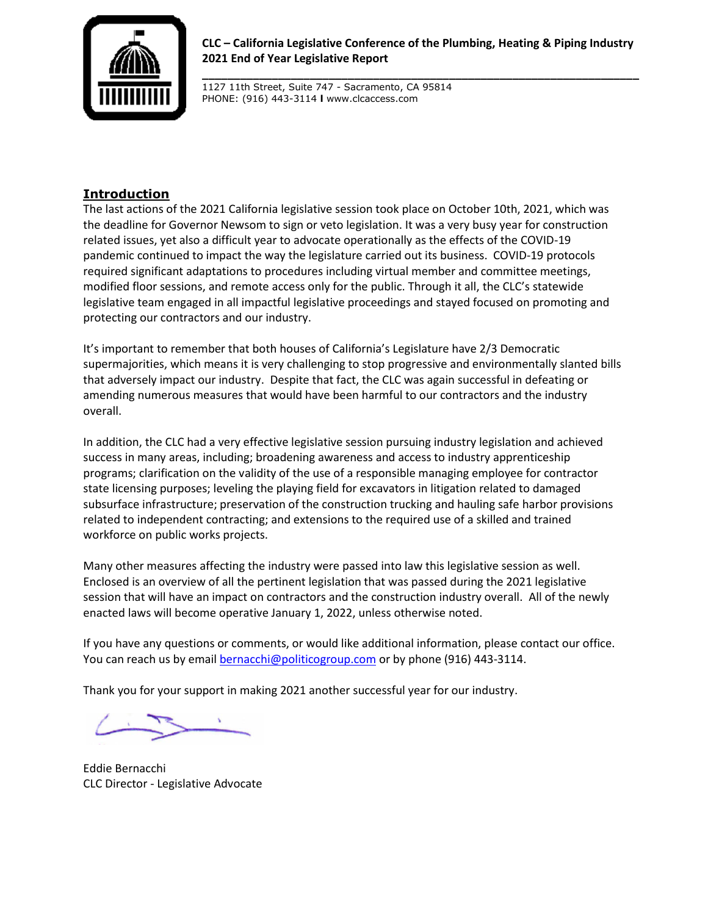

**CLC – California Legislative Conference of the Plumbing, Heating & Piping Industry 2021 End of Year Legislative Report**

**\_\_\_\_\_\_\_\_\_\_\_\_\_\_\_\_\_\_\_\_\_\_\_\_\_\_\_\_\_\_\_\_\_\_\_\_\_\_\_\_\_\_\_\_\_\_\_\_\_\_\_\_\_\_\_\_\_\_\_\_\_\_\_\_\_\_\_\_\_**

1127 11th Street, Suite 747 - Sacramento, CA 95814 PHONE: (916) 443-3114 **l** www.clcaccess.com

## **Introduction**

The last actions of the 2021 California legislative session took place on October 10th, 2021, which was the deadline for Governor Newsom to sign or veto legislation. It was a very busy year for construction related issues, yet also a difficult year to advocate operationally as the effects of the COVID-19 pandemic continued to impact the way the legislature carried out its business. COVID-19 protocols required significant adaptations to procedures including virtual member and committee meetings, modified floor sessions, and remote access only for the public. Through it all, the CLC's statewide legislative team engaged in all impactful legislative proceedings and stayed focused on promoting and protecting our contractors and our industry.

It's important to remember that both houses of California's Legislature have 2/3 Democratic supermajorities, which means it is very challenging to stop progressive and environmentally slanted bills that adversely impact our industry. Despite that fact, the CLC was again successful in defeating or amending numerous measures that would have been harmful to our contractors and the industry overall.

In addition, the CLC had a very effective legislative session pursuing industry legislation and achieved success in many areas, including; broadening awareness and access to industry apprenticeship programs; clarification on the validity of the use of a responsible managing employee for contractor state licensing purposes; leveling the playing field for excavators in litigation related to damaged subsurface infrastructure; preservation of the construction trucking and hauling safe harbor provisions related to independent contracting; and extensions to the required use of a skilled and trained workforce on public works projects.

Many other measures affecting the industry were passed into law this legislative session as well. Enclosed is an overview of all the pertinent legislation that was passed during the 2021 legislative session that will have an impact on contractors and the construction industry overall. All of the newly enacted laws will become operative January 1, 2022, unless otherwise noted.

If you have any questions or comments, or would like additional information, please contact our office. You can reach us by email **bernacchi@politicogroup.com** or by phone (916) 443-3114.

Thank you for your support in making 2021 another successful year for our industry.

Eddie Bernacchi CLC Director - Legislative Advocate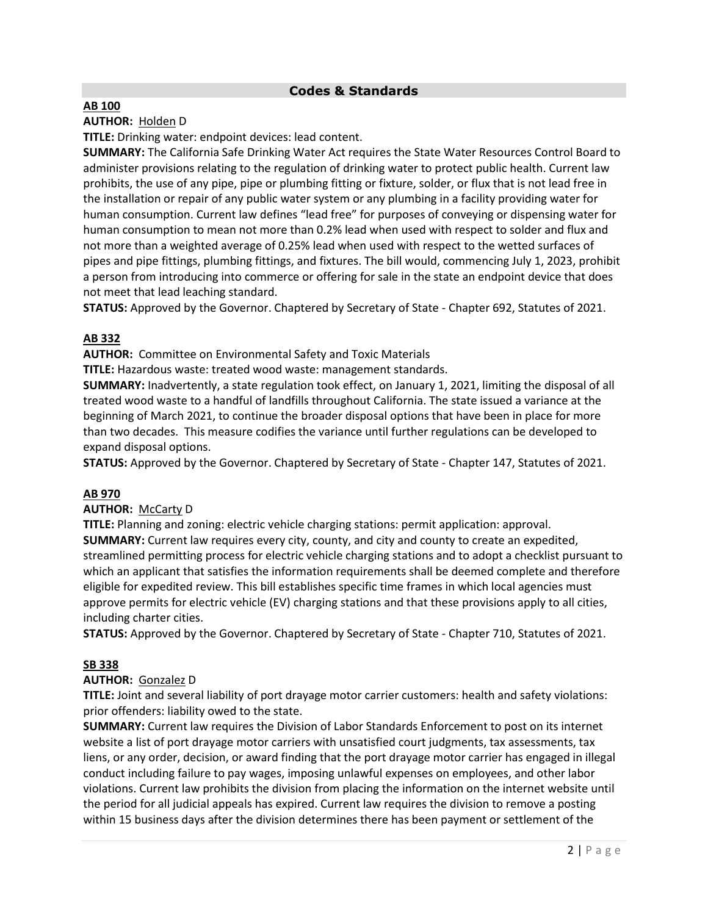## **Codes & Standards**

#### **AB 100**

### **AUTHOR:** [Holden](https://a41.asmdc.org/) D

**TITLE:** Drinking water: endpoint devices: lead content.

**SUMMARY:** The California Safe Drinking Water Act requires the State Water Resources Control Board to administer provisions relating to the regulation of drinking water to protect public health. Current law prohibits, the use of any pipe, pipe or plumbing fitting or fixture, solder, or flux that is not lead free in the installation or repair of any public water system or any plumbing in a facility providing water for human consumption. Current law defines "lead free" for purposes of conveying or dispensing water for human consumption to mean not more than 0.2% lead when used with respect to solder and flux and not more than a weighted average of 0.25% lead when used with respect to the wetted surfaces of pipes and pipe fittings, plumbing fittings, and fixtures. The bill would, commencing July 1, 2023, prohibit a person from introducing into commerce or offering for sale in the state an endpoint device that does not meet that lead leaching standard.

**STATUS:** Approved by the Governor. Chaptered by Secretary of State - Chapter 692, Statutes of 2021.

### **AB 332**

**AUTHOR:** Committee on Environmental Safety and Toxic Materials

**TITLE:** Hazardous waste: treated wood waste: management standards.

**SUMMARY:** Inadvertently, a state regulation took effect, on January 1, 2021, limiting the disposal of all treated wood waste to a handful of landfills throughout California. The state issued a variance at the beginning of March 2021, to continue the broader disposal options that have been in place for more than two decades. This measure codifies the variance until further regulations can be developed to expand disposal options.

**STATUS:** Approved by the Governor. Chaptered by Secretary of State - Chapter 147, Statutes of 2021.

#### **AB 970**

### **AUTHOR:** McCarty D

**TITLE:** Planning and zoning: electric vehicle charging stations: permit application: approval. **SUMMARY:** Current law requires every city, county, and city and county to create an expedited, streamlined permitting process for electric vehicle charging stations and to adopt a checklist pursuant to which an applicant that satisfies the information requirements shall be deemed complete and therefore eligible for expedited review. This bill establishes specific time frames in which local agencies must approve permits for electric vehicle (EV) charging stations and that these provisions apply to all cities, including charter cities.

**STATUS:** Approved by the Governor. Chaptered by Secretary of State - Chapter 710, Statutes of 2021.

#### **SB 338**

#### **AUTHOR:** Gonzalez D

**TITLE:** Joint and several liability of port drayage motor carrier customers: health and safety violations: prior offenders: liability owed to the state.

**SUMMARY:** Current law requires the Division of Labor Standards Enforcement to post on its internet website a list of port drayage motor carriers with unsatisfied court judgments, tax assessments, tax liens, or any order, decision, or award finding that the port drayage motor carrier has engaged in illegal conduct including failure to pay wages, imposing unlawful expenses on employees, and other labor violations. Current law prohibits the division from placing the information on the internet website until the period for all judicial appeals has expired. Current law requires the division to remove a posting within 15 business days after the division determines there has been payment or settlement of the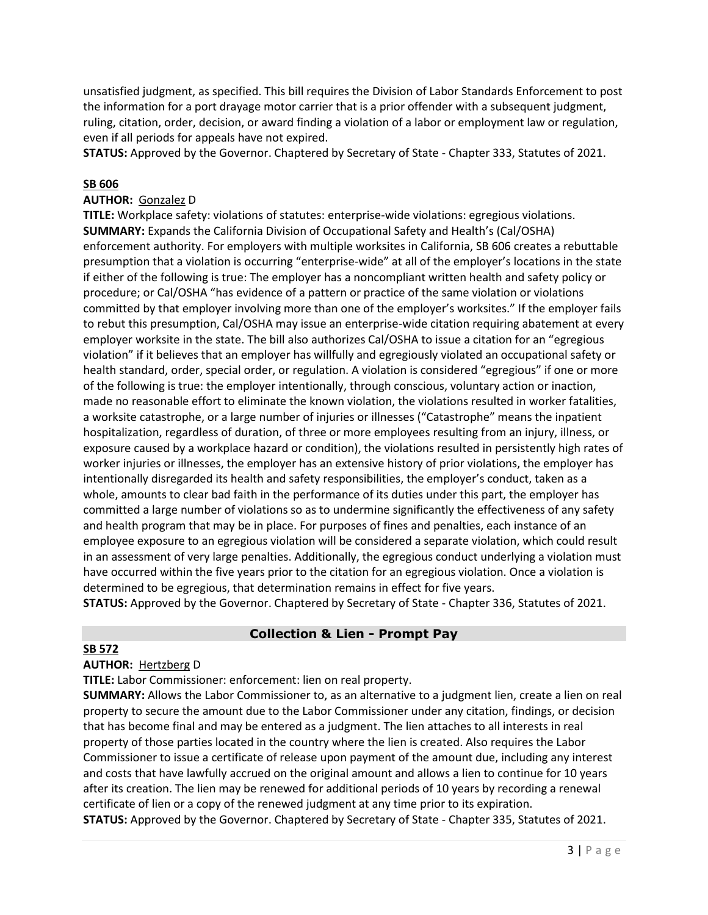unsatisfied judgment, as specified. This bill requires the Division of Labor Standards Enforcement to post the information for a port drayage motor carrier that is a prior offender with a subsequent judgment, ruling, citation, order, decision, or award finding a violation of a labor or employment law or regulation, even if all periods for appeals have not expired.

**STATUS:** Approved by the Governor. Chaptered by Secretary of State - Chapter 333, Statutes of 2021.

#### **SB 606**

#### **AUTHOR:** Gonzalez D

**TITLE:** Workplace safety: violations of statutes: enterprise-wide violations: egregious violations. **SUMMARY:** Expands the California Division of Occupational Safety and Health's (Cal/OSHA) enforcement authority. For employers with multiple worksites in California, SB 606 creates a rebuttable presumption that a violation is occurring "enterprise-wide" at all of the employer's locations in the state if either of the following is true: The employer has a noncompliant written health and safety policy or procedure; or Cal/OSHA "has evidence of a pattern or practice of the same violation or violations committed by that employer involving more than one of the employer's worksites." If the employer fails to rebut this presumption, Cal/OSHA may issue an enterprise-wide citation requiring abatement at every employer worksite in the state. The bill also authorizes Cal/OSHA to issue a citation for an "egregious violation" if it believes that an employer has willfully and egregiously violated an occupational safety or health standard, order, special order, or regulation. A violation is considered "egregious" if one or more of the following is true: the employer intentionally, through conscious, voluntary action or inaction, made no reasonable effort to eliminate the known violation, the violations resulted in worker fatalities, a worksite catastrophe, or a large number of injuries or illnesses ("Catastrophe" means the inpatient hospitalization, regardless of duration, of three or more employees resulting from an injury, illness, or exposure caused by a workplace hazard or condition), the violations resulted in persistently high rates of worker injuries or illnesses, the employer has an extensive history of prior violations, the employer has intentionally disregarded its health and safety responsibilities, the employer's conduct, taken as a whole, amounts to clear bad faith in the performance of its duties under this part, the employer has committed a large number of violations so as to undermine significantly the effectiveness of any safety and health program that may be in place. For purposes of fines and penalties, each instance of an employee exposure to an egregious violation will be considered a separate violation, which could result in an assessment of very large penalties. Additionally, the egregious conduct underlying a violation must have occurred within the five years prior to the citation for an egregious violation. Once a violation is determined to be egregious, that determination remains in effect for five years.

**STATUS:** Approved by the Governor. Chaptered by Secretary of State - Chapter 336, Statutes of 2021.

## **Collection & Lien - Prompt Pay**

### **SB 572**

#### **AUTHOR:** Hertzberg D

**TITLE:** Labor Commissioner: enforcement: lien on real property.

**SUMMARY:** Allows the Labor Commissioner to, as an alternative to a judgment lien, create a lien on real property to secure the amount due to the Labor Commissioner under any citation, findings, or decision that has become final and may be entered as a judgment. The lien attaches to all interests in real property of those parties located in the country where the lien is created. Also requires the Labor Commissioner to issue a certificate of release upon payment of the amount due, including any interest and costs that have lawfully accrued on the original amount and allows a lien to continue for 10 years after its creation. The lien may be renewed for additional periods of 10 years by recording a renewal certificate of lien or a copy of the renewed judgment at any time prior to its expiration. **STATUS:** Approved by the Governor. Chaptered by Secretary of State - Chapter 335, Statutes of 2021.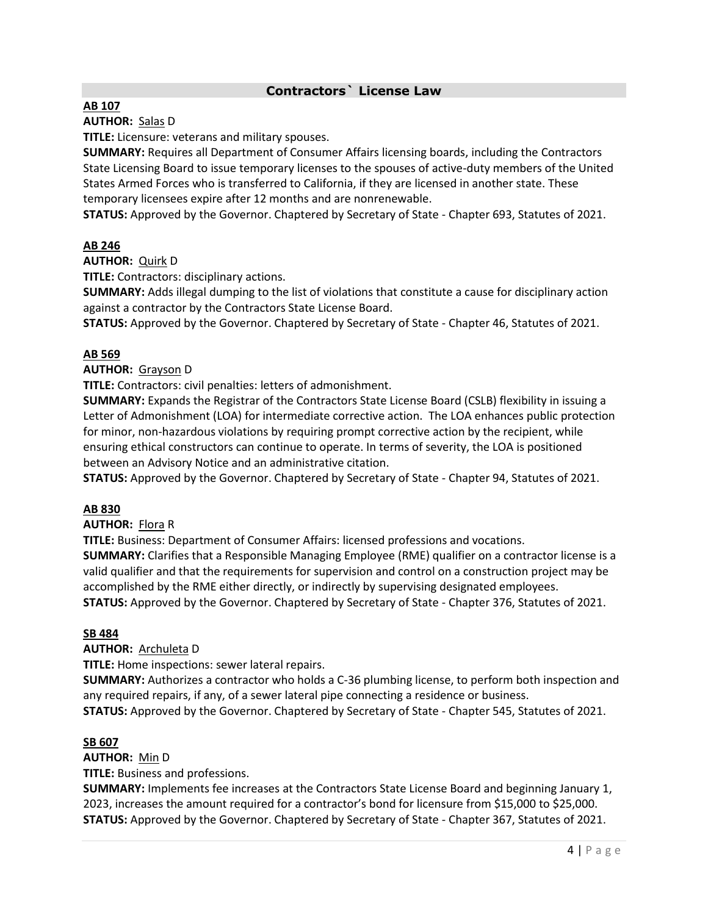## **Contractors` License Law**

#### **AB 107**

**AUTHOR:** Salas D

**TITLE:** Licensure: veterans and military spouses.

**SUMMARY:** Requires all Department of Consumer Affairs licensing boards, including the Contractors State Licensing Board to issue temporary licenses to the spouses of active-duty members of the United States Armed Forces who is transferred to California, if they are licensed in another state. These temporary licensees expire after 12 months and are nonrenewable.

**STATUS:** Approved by the Governor. Chaptered by Secretary of State - Chapter 693, Statutes of 2021.

#### **AB 246**

**AUTHOR:** Quirk D

**TITLE:** Contractors: disciplinary actions.

**SUMMARY:** Adds illegal dumping to the list of violations that constitute a cause for disciplinary action against a contractor by the Contractors State License Board.

**STATUS:** Approved by the Governor. Chaptered by Secretary of State - Chapter 46, Statutes of 2021.

#### **AB 569**

**AUTHOR:** Grayson D

**TITLE:** Contractors: civil penalties: letters of admonishment.

**SUMMARY:** Expands the Registrar of the Contractors State License Board (CSLB) flexibility in issuing a Letter of Admonishment (LOA) for intermediate corrective action. The LOA enhances public protection for minor, non-hazardous violations by requiring prompt corrective action by the recipient, while ensuring ethical constructors can continue to operate. In terms of severity, the LOA is positioned between an Advisory Notice and an administrative citation.

**STATUS:** Approved by the Governor. Chaptered by Secretary of State - Chapter 94, Statutes of 2021.

#### **AB 830**

**AUTHOR:** Flora R

**TITLE:** Business: Department of Consumer Affairs: licensed professions and vocations.

**SUMMARY:** Clarifies that a Responsible Managing Employee (RME) qualifier on a contractor license is a valid qualifier and that the requirements for supervision and control on a construction project may be accomplished by the RME either directly, or indirectly by supervising designated employees. **STATUS:** Approved by the Governor. Chaptered by Secretary of State - Chapter 376, Statutes of 2021.

#### **SB 484**

**AUTHOR:** Archuleta D

**TITLE:** Home inspections: sewer lateral repairs.

**SUMMARY:** Authorizes a contractor who holds a C-36 plumbing license, to perform both inspection and any required repairs, if any, of a sewer lateral pipe connecting a residence or business. **STATUS:** Approved by the Governor. Chaptered by Secretary of State - Chapter 545, Statutes of 2021.

#### **SB 607**

**AUTHOR:** Min D **TITLE:** Business and professions.

**SUMMARY:** Implements fee increases at the Contractors State License Board and beginning January 1, 2023, increases the amount required for a contractor's bond for licensure from \$15,000 to \$25,000. **STATUS:** Approved by the Governor. Chaptered by Secretary of State - Chapter 367, Statutes of 2021.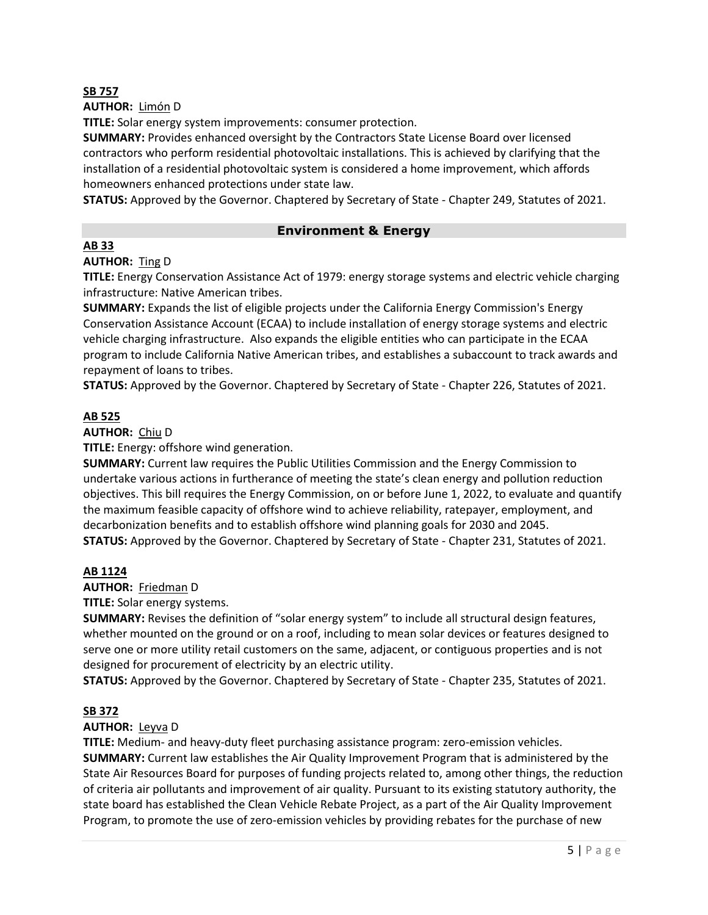#### **SB 757**

**AUTHOR:** Limón D

**TITLE:** Solar energy system improvements: consumer protection.

**SUMMARY:** Provides enhanced oversight by the Contractors State License Board over licensed contractors who perform residential photovoltaic installations. This is achieved by clarifying that the installation of a residential photovoltaic system is considered a home improvement, which affords homeowners enhanced protections under state law.

**STATUS:** Approved by the Governor. Chaptered by Secretary of State - Chapter 249, Statutes of 2021.

### **Environment & Energy**

### **AB 33**

# **AUTHOR:** Ting D

**TITLE:** Energy Conservation Assistance Act of 1979: energy storage systems and electric vehicle charging infrastructure: Native American tribes.

**SUMMARY:** Expands the list of eligible projects under the California Energy Commission's Energy Conservation Assistance Account (ECAA) to include installation of energy storage systems and electric vehicle charging infrastructure. Also expands the eligible entities who can participate in the ECAA program to include California Native American tribes, and establishes a subaccount to track awards and repayment of loans to tribes.

**STATUS:** Approved by the Governor. Chaptered by Secretary of State - Chapter 226, Statutes of 2021.

### **AB 525**

#### **AUTHOR:** Chiu D

**TITLE:** Energy: offshore wind generation.

**SUMMARY:** Current law requires the Public Utilities Commission and the Energy Commission to undertake various actions in furtherance of meeting the state's clean energy and pollution reduction objectives. This bill requires the Energy Commission, on or before June 1, 2022, to evaluate and quantify the maximum feasible capacity of offshore wind to achieve reliability, ratepayer, employment, and decarbonization benefits and to establish offshore wind planning goals for 2030 and 2045. **STATUS:** Approved by the Governor. Chaptered by Secretary of State - Chapter 231, Statutes of 2021.

#### **AB 1124**

**AUTHOR:** Friedman D

#### **TITLE:** Solar energy systems.

**SUMMARY:** Revises the definition of "solar energy system" to include all structural design features, whether mounted on the ground or on a roof, including to mean solar devices or features designed to serve one or more utility retail customers on the same, adjacent, or contiguous properties and is not designed for procurement of electricity by an electric utility.

**STATUS:** Approved by the Governor. Chaptered by Secretary of State - Chapter 235, Statutes of 2021.

## **[SB 372](https://ctweb.capitoltrack.com/public/publishbillinfo.aspx?bi=8cWOBroK9GxTXGx7pqGe6J2ORoAVQs2lvNMCqPezursxGr0J7M5P3BI9S1%2fLxjEc)**

#### **AUTHOR:** [Leyva](http://sd20.senate.ca.gov/) D

**TITLE:** Medium- and heavy-duty fleet purchasing assistance program: zero-emission vehicles. **SUMMARY:** Current law establishes the Air Quality Improvement Program that is administered by the State Air Resources Board for purposes of funding projects related to, among other things, the reduction of criteria air pollutants and improvement of air quality. Pursuant to its existing statutory authority, the state board has established the Clean Vehicle Rebate Project, as a part of the Air Quality Improvement Program, to promote the use of zero-emission vehicles by providing rebates for the purchase of new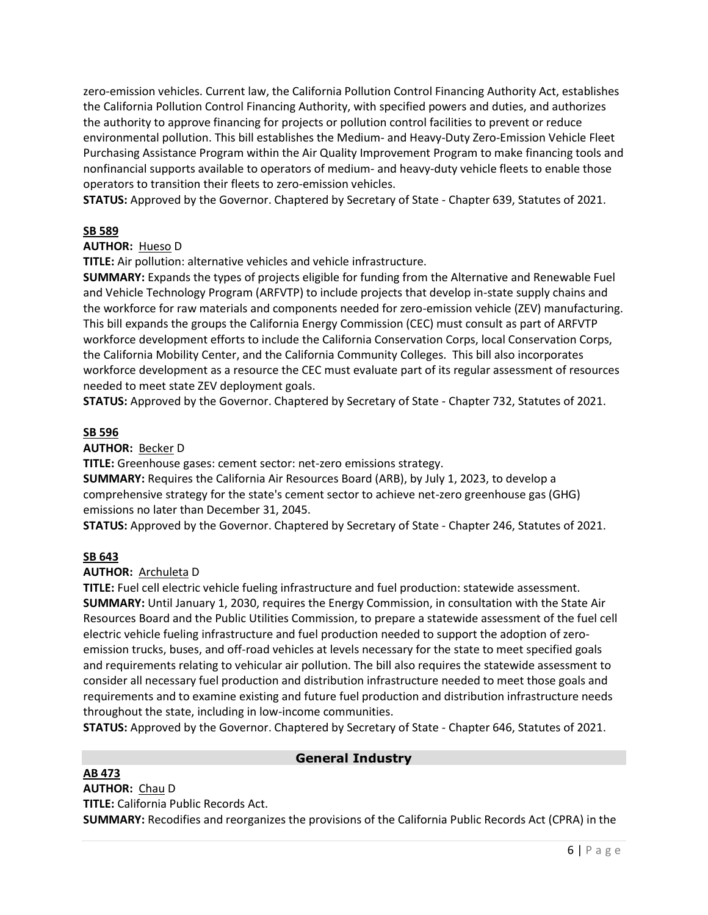zero-emission vehicles. Current law, the California Pollution Control Financing Authority Act, establishes the California Pollution Control Financing Authority, with specified powers and duties, and authorizes the authority to approve financing for projects or pollution control facilities to prevent or reduce environmental pollution. This bill establishes the Medium- and Heavy-Duty Zero-Emission Vehicle Fleet Purchasing Assistance Program within the Air Quality Improvement Program to make financing tools and nonfinancial supports available to operators of medium- and heavy-duty vehicle fleets to enable those operators to transition their fleets to zero-emission vehicles.

**STATUS:** Approved by the Governor. Chaptered by Secretary of State - Chapter 639, Statutes of 2021.

### **SB 589**

### **AUTHOR:** Hueso D

**TITLE:** Air pollution: alternative vehicles and vehicle infrastructure.

**SUMMARY:** Expands the types of projects eligible for funding from the Alternative and Renewable Fuel and Vehicle Technology Program (ARFVTP) to include projects that develop in-state supply chains and the workforce for raw materials and components needed for zero-emission vehicle (ZEV) manufacturing. This bill expands the groups the California Energy Commission (CEC) must consult as part of ARFVTP workforce development efforts to include the California Conservation Corps, local Conservation Corps, the California Mobility Center, and the California Community Colleges. This bill also incorporates workforce development as a resource the CEC must evaluate part of its regular assessment of resources needed to meet state ZEV deployment goals.

**STATUS:** Approved by the Governor. Chaptered by Secretary of State - Chapter 732, Statutes of 2021.

#### **SB 596**

#### **AUTHOR:** Becker D

**TITLE:** Greenhouse gases: cement sector: net-zero emissions strategy.

**SUMMARY:** Requires the California Air Resources Board (ARB), by July 1, 2023, to develop a comprehensive strategy for the state's cement sector to achieve net-zero greenhouse gas (GHG) emissions no later than December 31, 2045.

**STATUS:** Approved by the Governor. Chaptered by Secretary of State - Chapter 246, Statutes of 2021.

#### **SB 643**

#### **AUTHOR:** Archuleta D

**TITLE:** Fuel cell electric vehicle fueling infrastructure and fuel production: statewide assessment. **SUMMARY:** Until January 1, 2030, requires the Energy Commission, in consultation with the State Air Resources Board and the Public Utilities Commission, to prepare a statewide assessment of the fuel cell electric vehicle fueling infrastructure and fuel production needed to support the adoption of zeroemission trucks, buses, and off-road vehicles at levels necessary for the state to meet specified goals and requirements relating to vehicular air pollution. The bill also requires the statewide assessment to consider all necessary fuel production and distribution infrastructure needed to meet those goals and requirements and to examine existing and future fuel production and distribution infrastructure needs throughout the state, including in low-income communities.

**STATUS:** Approved by the Governor. Chaptered by Secretary of State - Chapter 646, Statutes of 2021.

#### **AB 473**

## **General Industry**

**AUTHOR:** Chau D **TITLE:** California Public Records Act. **SUMMARY:** Recodifies and reorganizes the provisions of the California Public Records Act (CPRA) in the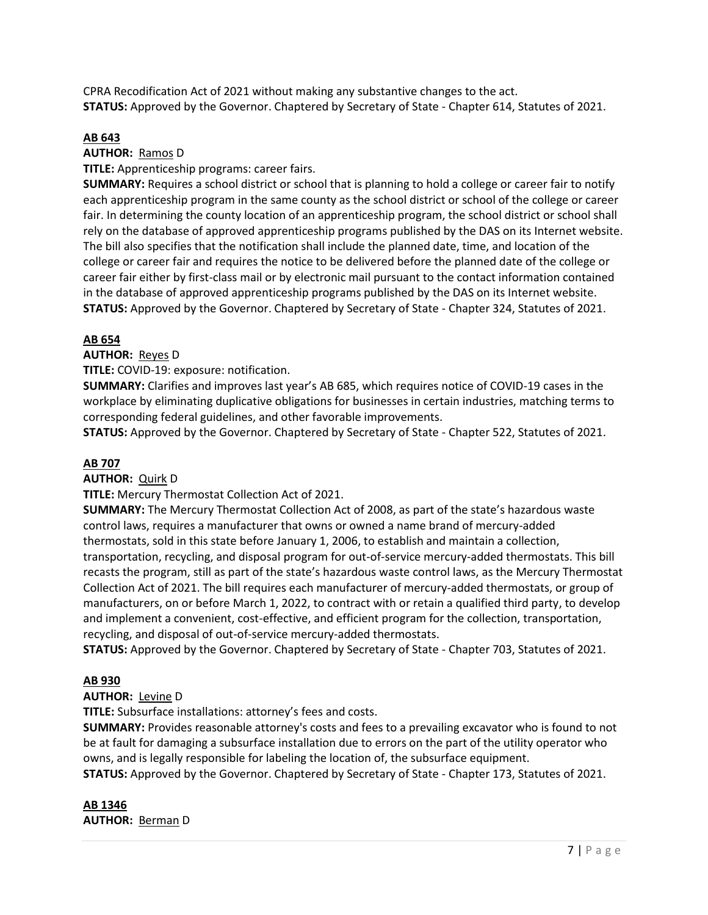CPRA Recodification Act of 2021 without making any substantive changes to the act. **STATUS:** Approved by the Governor. Chaptered by Secretary of State - Chapter 614, Statutes of 2021.

#### **AB 643**

**AUTHOR:** Ramos D

**TITLE:** Apprenticeship programs: career fairs.

**SUMMARY:** Requires a school district or school that is planning to hold a college or career fair to notify each apprenticeship program in the same county as the school district or school of the college or career fair. In determining the county location of an apprenticeship program, the school district or school shall rely on the database of approved apprenticeship programs published by the DAS on its Internet website. The bill also specifies that the notification shall include the planned date, time, and location of the college or career fair and requires the notice to be delivered before the planned date of the college or career fair either by first-class mail or by electronic mail pursuant to the contact information contained in the database of approved apprenticeship programs published by the DAS on its Internet website. **STATUS:** Approved by the Governor. Chaptered by Secretary of State - Chapter 324, Statutes of 2021.

#### **AB 654**

**AUTHOR:** Reyes D

**TITLE:** COVID-19: exposure: notification.

**SUMMARY:** Clarifies and improves last year's AB 685, which requires notice of COVID-19 cases in the workplace by eliminating duplicative obligations for businesses in certain industries, matching terms to corresponding federal guidelines, and other favorable improvements.

**STATUS:** Approved by the Governor. Chaptered by Secretary of State - Chapter 522, Statutes of 2021.

#### **AB 707**

**AUTHOR:** Quirk D

**TITLE:** Mercury Thermostat Collection Act of 2021.

**SUMMARY:** The Mercury Thermostat Collection Act of 2008, as part of the state's hazardous waste control laws, requires a manufacturer that owns or owned a name brand of mercury-added thermostats, sold in this state before January 1, 2006, to establish and maintain a collection, transportation, recycling, and disposal program for out-of-service mercury-added thermostats. This bill recasts the program, still as part of the state's hazardous waste control laws, as the Mercury Thermostat Collection Act of 2021. The bill requires each manufacturer of mercury-added thermostats, or group of manufacturers, on or before March 1, 2022, to contract with or retain a qualified third party, to develop and implement a convenient, cost-effective, and efficient program for the collection, transportation, recycling, and disposal of out-of-service mercury-added thermostats.

**STATUS:** Approved by the Governor. Chaptered by Secretary of State - Chapter 703, Statutes of 2021.

#### **AB 930**

#### **AUTHOR:** Levine D

**TITLE:** Subsurface installations: attorney's fees and costs.

**SUMMARY:** Provides reasonable attorney's costs and fees to a prevailing excavator who is found to not be at fault for damaging a subsurface installation due to errors on the part of the utility operator who owns, and is legally responsible for labeling the location of, the subsurface equipment.

**STATUS:** Approved by the Governor. Chaptered by Secretary of State - Chapter 173, Statutes of 2021.

**AB 1346 AUTHOR:** Berman D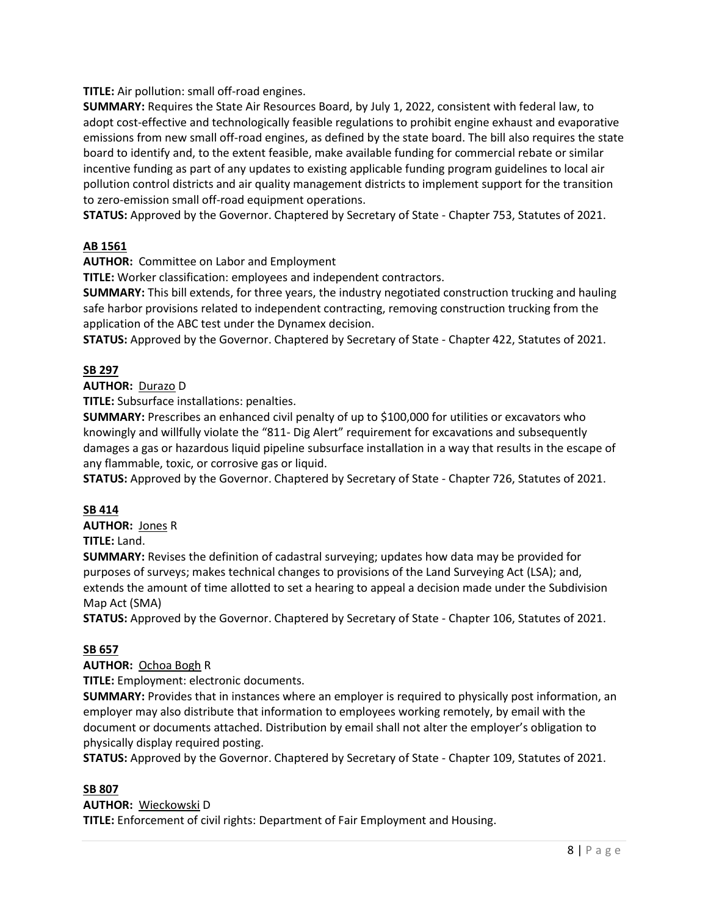**TITLE:** Air pollution: small off-road engines.

**SUMMARY:** Requires the State Air Resources Board, by July 1, 2022, consistent with federal law, to adopt cost-effective and technologically feasible regulations to prohibit engine exhaust and evaporative emissions from new small off-road engines, as defined by the state board. The bill also requires the state board to identify and, to the extent feasible, make available funding for commercial rebate or similar incentive funding as part of any updates to existing applicable funding program guidelines to local air pollution control districts and air quality management districts to implement support for the transition to zero-emission small off-road equipment operations.

**STATUS:** Approved by the Governor. Chaptered by Secretary of State - Chapter 753, Statutes of 2021.

## **AB 1561**

**AUTHOR:** Committee on Labor and Employment

**TITLE:** Worker classification: employees and independent contractors.

**SUMMARY:** This bill extends, for three years, the industry negotiated construction trucking and hauling safe harbor provisions related to independent contracting, removing construction trucking from the application of the ABC test under the Dynamex decision.

**STATUS:** Approved by the Governor. Chaptered by Secretary of State - Chapter 422, Statutes of 2021.

## **SB 297**

**AUTHOR:** Durazo D

**TITLE:** Subsurface installations: penalties.

**SUMMARY:** Prescribes an enhanced civil penalty of up to \$100,000 for utilities or excavators who knowingly and willfully violate the "811- Dig Alert" requirement for excavations and subsequently damages a gas or hazardous liquid pipeline subsurface installation in a way that results in the escape of any flammable, toxic, or corrosive gas or liquid.

**STATUS:** Approved by the Governor. Chaptered by Secretary of State - Chapter 726, Statutes of 2021.

#### **SB 414**

**AUTHOR:** Jones R

**TITLE:** Land.

**SUMMARY:** Revises the definition of cadastral surveying; updates how data may be provided for purposes of surveys; makes technical changes to provisions of the Land Surveying Act (LSA); and, extends the amount of time allotted to set a hearing to appeal a decision made under the Subdivision Map Act (SMA)

**STATUS:** Approved by the Governor. Chaptered by Secretary of State - Chapter 106, Statutes of 2021.

## **SB 657**

#### **AUTHOR:** Ochoa Bogh R

**TITLE:** Employment: electronic documents.

**SUMMARY:** Provides that in instances where an employer is required to physically post information, an employer may also distribute that information to employees working remotely, by email with the document or documents attached. Distribution by email shall not alter the employer's obligation to physically display required posting.

**STATUS:** Approved by the Governor. Chaptered by Secretary of State - Chapter 109, Statutes of 2021.

#### **SB 807**

#### **AUTHOR:** Wieckowski D

**TITLE:** Enforcement of civil rights: Department of Fair Employment and Housing.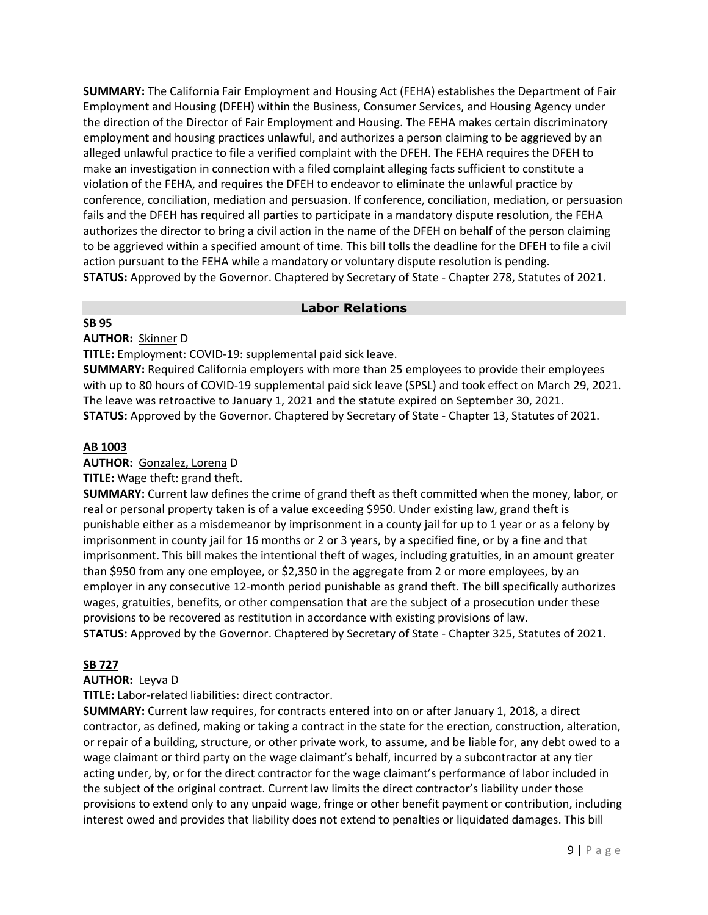**SUMMARY:** The California Fair Employment and Housing Act (FEHA) establishes the Department of Fair Employment and Housing (DFEH) within the Business, Consumer Services, and Housing Agency under the direction of the Director of Fair Employment and Housing. The FEHA makes certain discriminatory employment and housing practices unlawful, and authorizes a person claiming to be aggrieved by an alleged unlawful practice to file a verified complaint with the DFEH. The FEHA requires the DFEH to make an investigation in connection with a filed complaint alleging facts sufficient to constitute a violation of the FEHA, and requires the DFEH to endeavor to eliminate the unlawful practice by conference, conciliation, mediation and persuasion. If conference, conciliation, mediation, or persuasion fails and the DFEH has required all parties to participate in a mandatory dispute resolution, the FEHA authorizes the director to bring a civil action in the name of the DFEH on behalf of the person claiming to be aggrieved within a specified amount of time. This bill tolls the deadline for the DFEH to file a civil action pursuant to the FEHA while a mandatory or voluntary dispute resolution is pending. **STATUS:** Approved by the Governor. Chaptered by Secretary of State - Chapter 278, Statutes of 2021.

## **Labor Relations**

### **SB 95**

**AUTHOR:** Skinner D

**TITLE:** Employment: COVID-19: supplemental paid sick leave.

**SUMMARY:** Required California employers with more than 25 employees to provide their employees with up to 80 hours of COVID-19 supplemental paid sick leave (SPSL) and took effect on March 29, 2021. The leave was retroactive to January 1, 2021 and the statute expired on September 30, 2021. **STATUS:** Approved by the Governor. Chaptered by Secretary of State - Chapter 13, Statutes of 2021.

### **[AB 1003](https://ctweb.capitoltrack.com/public/publishbillinfo.aspx?bi=4ev3%2fl8%2fUvdyCdFYeN5pMhvyd0cit6lPLvo8df4U394alhUa5bTiXdXHLKaG8IJJ)**

**AUTHOR:** [Gonzalez, Lorena](https://a80.asmdc.org/) D

**TITLE:** Wage theft: grand theft.

**SUMMARY:** Current law defines the crime of grand theft as theft committed when the money, labor, or real or personal property taken is of a value exceeding \$950. Under existing law, grand theft is punishable either as a misdemeanor by imprisonment in a county jail for up to 1 year or as a felony by imprisonment in county jail for 16 months or 2 or 3 years, by a specified fine, or by a fine and that imprisonment. This bill makes the intentional theft of wages, including gratuities, in an amount greater than \$950 from any one employee, or \$2,350 in the aggregate from 2 or more employees, by an employer in any consecutive 12-month period punishable as grand theft. The bill specifically authorizes wages, gratuities, benefits, or other compensation that are the subject of a prosecution under these provisions to be recovered as restitution in accordance with existing provisions of law. **STATUS:** Approved by the Governor. Chaptered by Secretary of State - Chapter 325, Statutes of 2021.

## **SB 727**

**AUTHOR:** Leyva D

**TITLE:** Labor-related liabilities: direct contractor.

**SUMMARY:** Current law requires, for contracts entered into on or after January 1, 2018, a direct contractor, as defined, making or taking a contract in the state for the erection, construction, alteration, or repair of a building, structure, or other private work, to assume, and be liable for, any debt owed to a wage claimant or third party on the wage claimant's behalf, incurred by a subcontractor at any tier acting under, by, or for the direct contractor for the wage claimant's performance of labor included in the subject of the original contract. Current law limits the direct contractor's liability under those provisions to extend only to any unpaid wage, fringe or other benefit payment or contribution, including interest owed and provides that liability does not extend to penalties or liquidated damages. This bill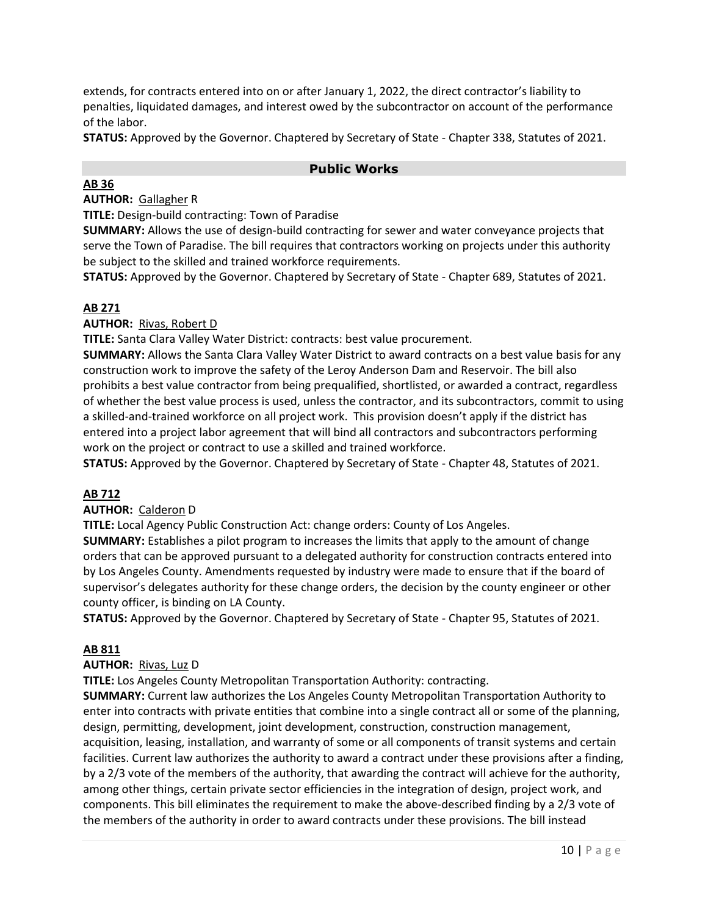extends, for contracts entered into on or after January 1, 2022, the direct contractor's liability to penalties, liquidated damages, and interest owed by the subcontractor on account of the performance of the labor.

**STATUS:** Approved by the Governor. Chaptered by Secretary of State - Chapter 338, Statutes of 2021.

### **Public Works**

## **[AB 36](https://ctweb.capitoltrack.com/public/publishbillinfo.aspx?bi=CJJeoDVTp3abWq22FFZlfQ8EcndY1PnvdB4LxAMb6IVms0kYKqvxIMegV0ORu2fa)**

**AUTHOR:** [Gallagher](http://ad03.asmrc.org/) R

**TITLE:** Design-build contracting: Town of Paradise

**SUMMARY:** Allows the use of design-build contracting for sewer and water conveyance projects that serve the Town of Paradise. The bill requires that contractors working on projects under this authority be subject to the skilled and trained workforce requirements.

**STATUS:** Approved by the Governor. Chaptered by Secretary of State - Chapter 689, Statutes of 2021.

### **AB 271**

**AUTHOR:** Rivas, Robert D

**TITLE:** Santa Clara Valley Water District: contracts: best value procurement.

**SUMMARY:** Allows the Santa Clara Valley Water District to award contracts on a best value basis for any construction work to improve the safety of the Leroy Anderson Dam and Reservoir. The bill also prohibits a best value contractor from being prequalified, shortlisted, or awarded a contract, regardless of whether the best value process is used, unless the contractor, and its subcontractors, commit to using a skilled-and-trained workforce on all project work. This provision doesn't apply if the district has entered into a project labor agreement that will bind all contractors and subcontractors performing work on the project or contract to use a skilled and trained workforce.

**STATUS:** Approved by the Governor. Chaptered by Secretary of State - Chapter 48, Statutes of 2021.

## **AB 712**

#### **AUTHOR:** Calderon D

**TITLE:** Local Agency Public Construction Act: change orders: County of Los Angeles.

**SUMMARY:** Establishes a pilot program to increases the limits that apply to the amount of change orders that can be approved pursuant to a delegated authority for construction contracts entered into by Los Angeles County. Amendments requested by industry were made to ensure that if the board of supervisor's delegates authority for these change orders, the decision by the county engineer or other county officer, is binding on LA County.

**STATUS:** Approved by the Governor. Chaptered by Secretary of State - Chapter 95, Statutes of 2021.

#### **AB 811**

#### **AUTHOR:** Rivas, Luz D

**TITLE:** Los Angeles County Metropolitan Transportation Authority: contracting.

**SUMMARY:** Current law authorizes the Los Angeles County Metropolitan Transportation Authority to enter into contracts with private entities that combine into a single contract all or some of the planning, design, permitting, development, joint development, construction, construction management, acquisition, leasing, installation, and warranty of some or all components of transit systems and certain facilities. Current law authorizes the authority to award a contract under these provisions after a finding, by a 2/3 vote of the members of the authority, that awarding the contract will achieve for the authority, among other things, certain private sector efficiencies in the integration of design, project work, and components. This bill eliminates the requirement to make the above-described finding by a 2/3 vote of the members of the authority in order to award contracts under these provisions. The bill instead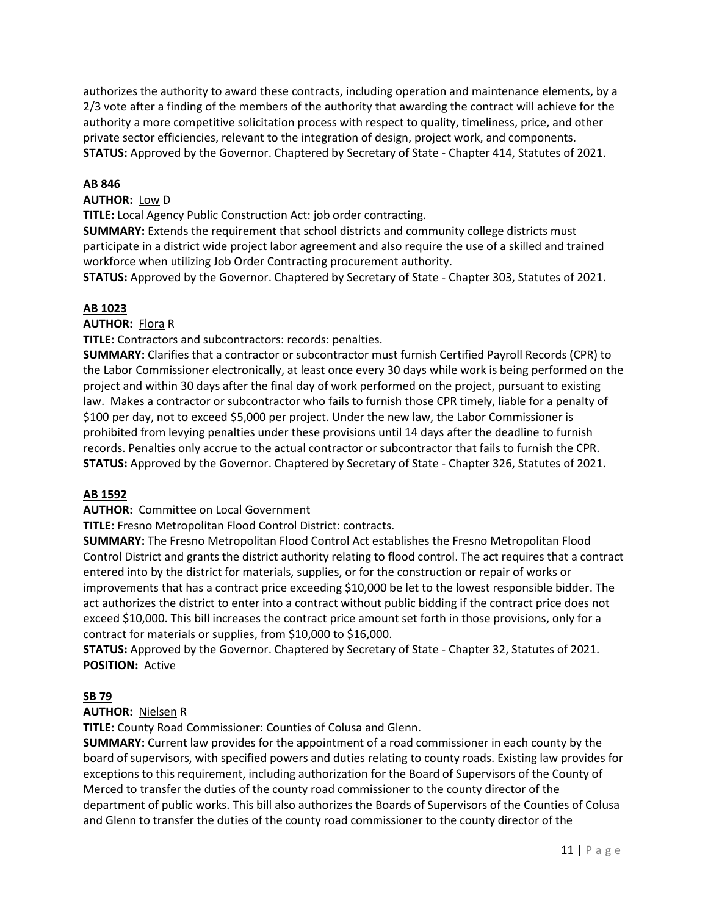authorizes the authority to award these contracts, including operation and maintenance elements, by a 2/3 vote after a finding of the members of the authority that awarding the contract will achieve for the authority a more competitive solicitation process with respect to quality, timeliness, price, and other private sector efficiencies, relevant to the integration of design, project work, and components. **STATUS:** Approved by the Governor. Chaptered by Secretary of State - Chapter 414, Statutes of 2021.

#### **AB 846**

#### **AUTHOR:** Low D

**TITLE:** Local Agency Public Construction Act: job order contracting.

**SUMMARY:** Extends the requirement that school districts and community college districts must participate in a district wide project labor agreement and also require the use of a skilled and trained workforce when utilizing Job Order Contracting procurement authority.

**STATUS:** Approved by the Governor. Chaptered by Secretary of State - Chapter 303, Statutes of 2021.

#### **AB 1023**

#### **AUTHOR:** Flora R

**TITLE:** Contractors and subcontractors: records: penalties.

**SUMMARY:** Clarifies that a contractor or subcontractor must furnish Certified Payroll Records (CPR) to the Labor Commissioner electronically, at least once every 30 days while work is being performed on the project and within 30 days after the final day of work performed on the project, pursuant to existing law. Makes a contractor or subcontractor who fails to furnish those CPR timely, liable for a penalty of \$100 per day, not to exceed \$5,000 per project. Under the new law, the Labor Commissioner is prohibited from levying penalties under these provisions until 14 days after the deadline to furnish records. Penalties only accrue to the actual contractor or subcontractor that fails to furnish the CPR. **STATUS:** Approved by the Governor. Chaptered by Secretary of State - Chapter 326, Statutes of 2021.

#### **[AB 1592](https://ctweb.capitoltrack.com/public/publishbillinfo.aspx?bi=CIc%2f%2ffsvXBSxMpVfhCbwjqXm%2blN4MpgL%2fWKQZoLbfP1WtRWZ5P2pgLmL2lXnB1gp)**

**AUTHOR:** Committee on Local Government

**TITLE:** Fresno Metropolitan Flood Control District: contracts.

**SUMMARY:** The Fresno Metropolitan Flood Control Act establishes the Fresno Metropolitan Flood Control District and grants the district authority relating to flood control. The act requires that a contract entered into by the district for materials, supplies, or for the construction or repair of works or improvements that has a contract price exceeding \$10,000 be let to the lowest responsible bidder. The act authorizes the district to enter into a contract without public bidding if the contract price does not exceed \$10,000. This bill increases the contract price amount set forth in those provisions, only for a contract for materials or supplies, from \$10,000 to \$16,000.

**STATUS:** Approved by the Governor. Chaptered by Secretary of State - Chapter 32, Statutes of 2021. **POSITION:** Active

#### **SB 79**

#### **AUTHOR:** Nielsen R

**TITLE:** County Road Commissioner: Counties of Colusa and Glenn.

**SUMMARY:** Current law provides for the appointment of a road commissioner in each county by the board of supervisors, with specified powers and duties relating to county roads. Existing law provides for exceptions to this requirement, including authorization for the Board of Supervisors of the County of Merced to transfer the duties of the county road commissioner to the county director of the department of public works. This bill also authorizes the Boards of Supervisors of the Counties of Colusa and Glenn to transfer the duties of the county road commissioner to the county director of the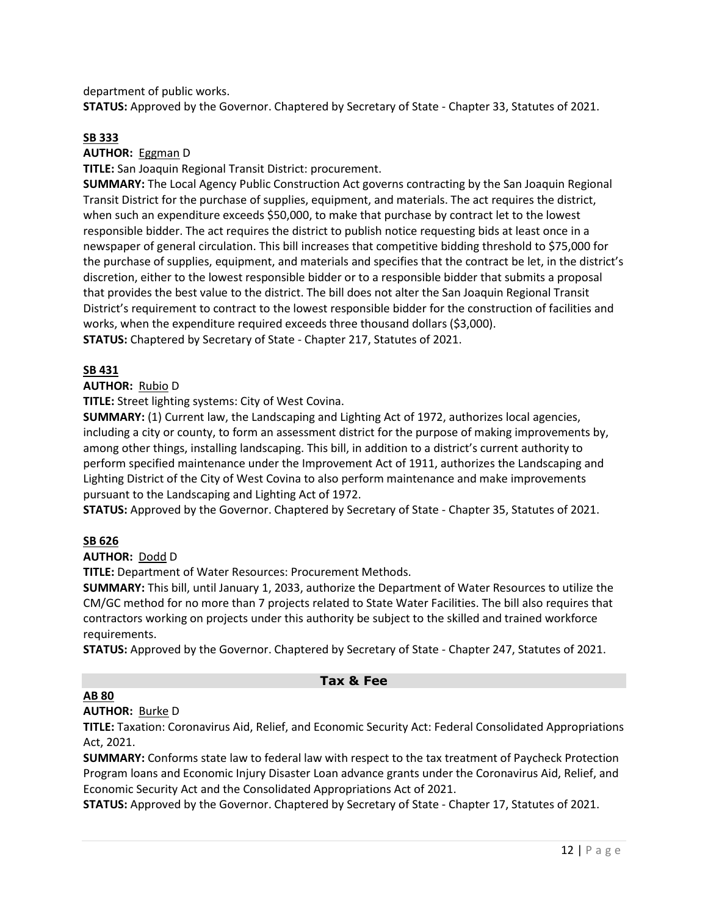department of public works.

**STATUS:** Approved by the Governor. Chaptered by Secretary of State - Chapter 33, Statutes of 2021.

#### **SB 333**

**AUTHOR:** Eggman D

**TITLE:** San Joaquin Regional Transit District: procurement.

**SUMMARY:** The Local Agency Public Construction Act governs contracting by the San Joaquin Regional Transit District for the purchase of supplies, equipment, and materials. The act requires the district, when such an expenditure exceeds \$50,000, to make that purchase by contract let to the lowest responsible bidder. The act requires the district to publish notice requesting bids at least once in a newspaper of general circulation. This bill increases that competitive bidding threshold to \$75,000 for the purchase of supplies, equipment, and materials and specifies that the contract be let, in the district's discretion, either to the lowest responsible bidder or to a responsible bidder that submits a proposal that provides the best value to the district. The bill does not alter the San Joaquin Regional Transit District's requirement to contract to the lowest responsible bidder for the construction of facilities and works, when the expenditure required exceeds three thousand dollars (\$3,000). **STATUS:** Chaptered by Secretary of State - Chapter 217, Statutes of 2021.

#### **SB 431**

#### **AUTHOR:** Rubio D

**TITLE:** Street lighting systems: City of West Covina.

**SUMMARY:** (1) Current law, the Landscaping and Lighting Act of 1972, authorizes local agencies, including a city or county, to form an assessment district for the purpose of making improvements by, among other things, installing landscaping. This bill, in addition to a district's current authority to perform specified maintenance under the Improvement Act of 1911, authorizes the Landscaping and Lighting District of the City of West Covina to also perform maintenance and make improvements pursuant to the Landscaping and Lighting Act of 1972.

**STATUS:** Approved by the Governor. Chaptered by Secretary of State - Chapter 35, Statutes of 2021.

#### **SB 626**

#### **AUTHOR:** Dodd D

**TITLE:** Department of Water Resources: Procurement Methods.

**SUMMARY:** This bill, until January 1, 2033, authorize the Department of Water Resources to utilize the CM/GC method for no more than 7 projects related to State Water Facilities. The bill also requires that contractors working on projects under this authority be subject to the skilled and trained workforce requirements.

**STATUS:** Approved by the Governor. Chaptered by Secretary of State - Chapter 247, Statutes of 2021.

## **Tax & Fee**

#### **AB 80**

**AUTHOR:** Burke D

**TITLE:** Taxation: Coronavirus Aid, Relief, and Economic Security Act: Federal Consolidated Appropriations Act, 2021.

**SUMMARY:** Conforms state law to federal law with respect to the tax treatment of Paycheck Protection Program loans and Economic Injury Disaster Loan advance grants under the Coronavirus Aid, Relief, and Economic Security Act and the Consolidated Appropriations Act of 2021.

**STATUS:** Approved by the Governor. Chaptered by Secretary of State - Chapter 17, Statutes of 2021.